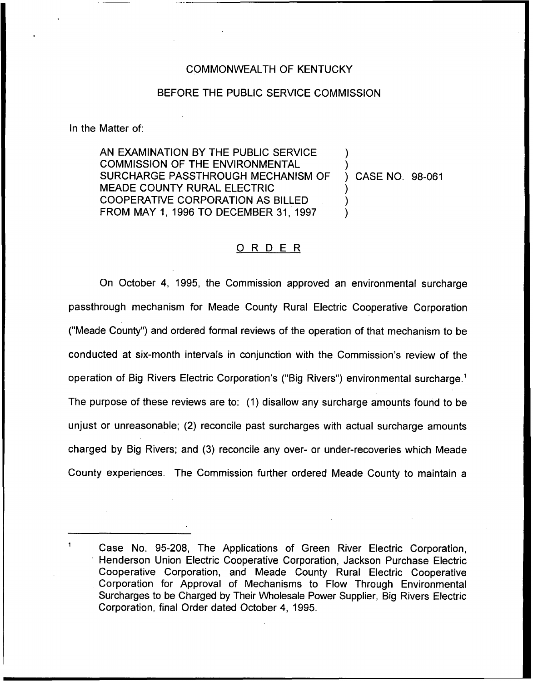## COMMONWEALTH OF KENTUCKY

## BEFORE THE PUBLIC SERVICE COMMISSION

In the Matter of:

AN EXAMINATION BY THE PUBLIC SERVICE COMMISSION OF THE ENVIRONMENTAL SURCHARGE PASSTHROUGH MECHANISM OF MEADE COUNTY RURAL ELECTRIC COOPERATIVE CORPORATION AS BILLED FROM MAY 1, 1996 TO DECEMBER 31, 1997 ) ) ) CASE NO. 98-061 ) ) )

## 0 <sup>R</sup> <sup>D</sup> <sup>E</sup> <sup>R</sup>

On October 4, 1995, the Commission approved an environmental surcharge passthrough mechanism for Meade County Rural Electric Cooperative Corporation ("Meade County") and ordered formal reviews of the operation of that mechanism to be conducted at six-month intervals in conjunction with the Commission's review of the operation of Big Rivers Electric Corporation's ("Big Rivers") environmental surcharge.<sup>1</sup> The purpose of these reviews are to:  $(1)$  disallow any surcharge amounts found to be unjust or unreasonable; (2) reconcile past surcharges with actual surcharge amounts charged by Big Rivers; and (3) reconcile any over- or under-recoveries which Meade County experiences. The Commission further ordered Meade County to maintain a

Case No. 95-208, The Applications of Green River Electric Corporation, Henderson Union Electric Cooperative Corporation, Jackson Purchase Electric Cooperative Corporation, and Meade County Rural Electric Cooperative Corporation for Approval of Mechanisms to Flow Through Environmental Surcharges to be Charged by Their Wholesale Power Supplier, Big Rivers Electric Corporation, final Order dated October 4, 1995.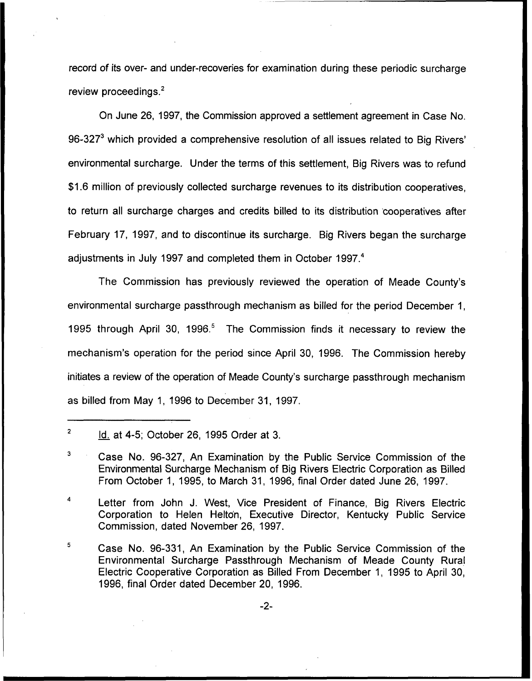record of its over- and under-recoveries for examination during these periodic surcharge review proceedings. $<sup>2</sup>$ </sup>

June 26, 1997, the Commission approved a settlement agreement in Case No. 96-327 $^3$  which provided a comprehensive resolution of all issues related to Big Rivers' surcharge. Under the terms of this settlement, Big Rivers was to refun \$1.6 million of previously collected surcharge revenues to its distribution cooperatives, to return all surcharge charges and credits billed to its distribution 'cooperatives after February 17, 1997, and to discontinue its surcharge. Big Rivers began the surcharge adjustments in July 1997 and completed them in October 1997.<sup>4</sup>

The Commission has previously reviewed the operation of Meade County's environmental surcharge passthrough mechanism as billed for the period December 1, 1995 through April 30, 1996.<sup>5</sup> The Commission finds it necessary to review the mechanism's operation for the period since April 30, 1996. The Commission hereby initiates a review of the operation of Meade County's surcharge passthrough mechanism as billed from May 1, 1996 to December 31, 1997.

 $\overline{2}$ Id. at 4-5; October 26, 1995 Order at 3.

3 Case No. 96-327, An Examination by the Public Service Commission of the Environmental Surcharge Mechanism of Big Rivers Electric Corporation as Billed From October 1, 1995, to March 31, 1996, final Order dated June 26, 1997.

4 Letter from John J. West, Vice President of Finance, Big Rivers Electric Corporation to Helen Helton, Executive Director, Kentucky Public Service Commission, dated November 26, 1997.

5 Case No. 96-331, An Examination by the Public Service Commission of the Environmental Surcharge Passthrough Mechanism of Meade County Rural Electric Cooperative Corporation as Billed From December 1, 1995 to April 30, 1996, final Order dated December 20, 1996.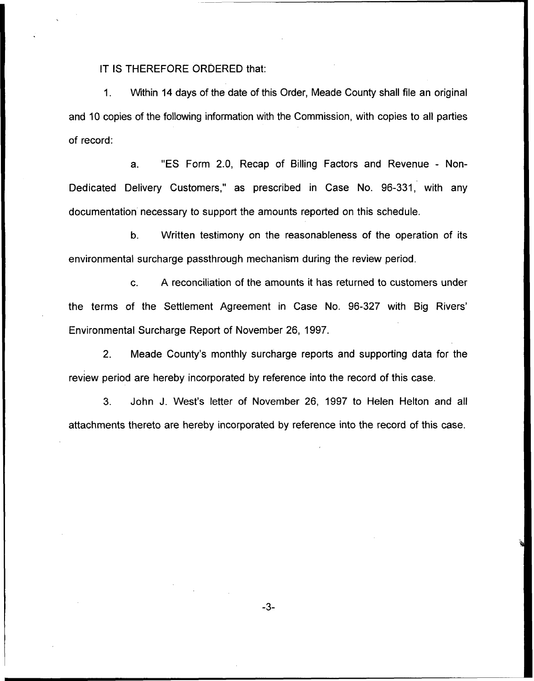IT IS THEREFORE ORDERED that:

1. Within 14 days of the date of this Order, Meade County shall file an original and 10 copies of the following information with the Commission, with copies to all parties of record:

a. "ES Form 2.0, Recap of Billing Factors and Revenue - Non-Dedicated Delivery Customers," as prescribed in Case No. 96-331, with any documentation necessary to support the amounts reported on this schedule.

b. Written testimony on the reasonableness of the operation of its environmental surcharge passthrough mechanism during the review period.

G. A reconciliation of the amounts it has returned to customers under the terms of the Settlement Agreement in Case No. 96-327 with Big Environmental Surcharge Report of November 26, 1997.

2. Meade County's monthly surcharge reports and supporting data for the review period are hereby incorporated by reference into the record of this case.

3. John J. West's letter of November 26, 1997 to Helen Helton and all attachments thereto are hereby incorporated by reference into the record of this case.